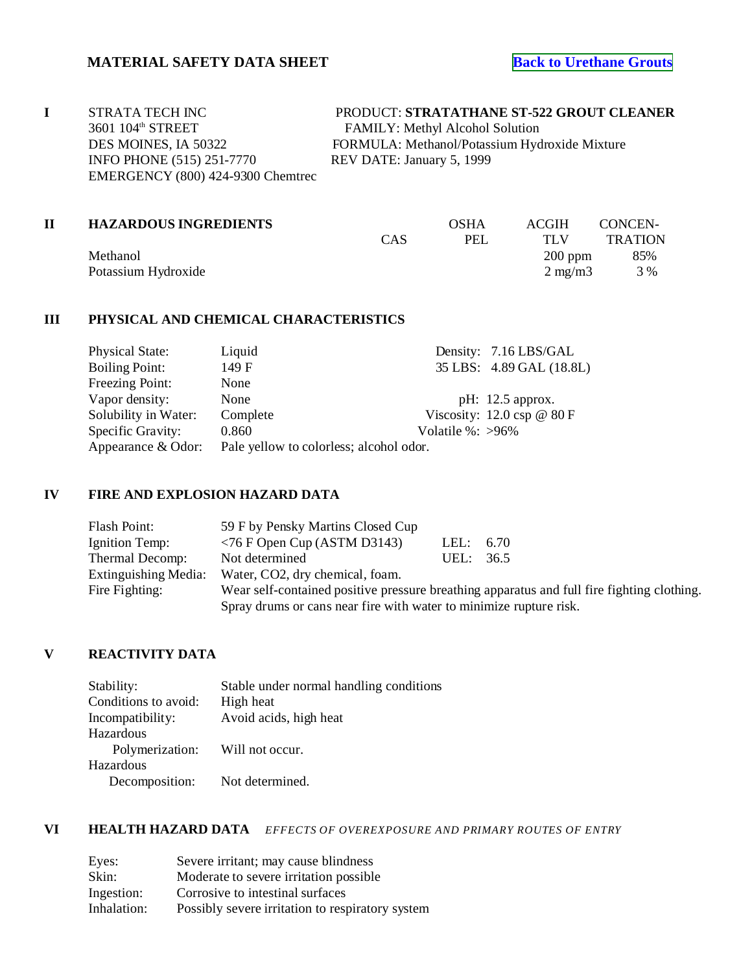| STRATA TECH INC                   | PRODUCT: STRATATHANE ST-522 GROUT CLEANER     |
|-----------------------------------|-----------------------------------------------|
| 3601 104 <sup>th</sup> STREET     | <b>FAMILY:</b> Methyl Alcohol Solution        |
| DES MOINES, IA 50322              | FORMULA: Methanol/Potassium Hydroxide Mixture |
| <b>INFO PHONE (515) 251-7770</b>  | REV DATE: January 5, 1999                     |
| EMERGENCY (800) 424-9300 Chemtrec |                                               |
|                                   |                                               |

|     | <b>OSHA</b> | <b>ACGIH</b>     | CONCEN-                      |
|-----|-------------|------------------|------------------------------|
| CAS | PEL         | TI .V            | <b>TRATION</b>               |
|     |             | $200$ ppm        | 85%                          |
|     |             | $2 \text{ mg/m}$ | 3 %                          |
|     |             |                  | <b>HAZARDOUS INGREDIENTS</b> |

# **III PHYSICAL AND CHEMICAL CHARACTERISTICS**

| Liquid   | Density: 7.16 LBS/GAL                                               |
|----------|---------------------------------------------------------------------|
| 149 F    | 35 LBS: 4.89 GAL (18.8L)                                            |
| None     |                                                                     |
| None     | pH: $12.5$ approx.                                                  |
| Complete | Viscosity: $12.0 \text{ csp} \& 80 \text{ F}$                       |
| 0.860    |                                                                     |
|          |                                                                     |
|          | Volatile $\%$ : >96 $\%$<br>Pale yellow to colorless; alcohol odor. |

## **IV FIRE AND EXPLOSION HAZARD DATA**

| Flash Point:         | 59 F by Pensky Martins Closed Cup                                                          |             |  |  |
|----------------------|--------------------------------------------------------------------------------------------|-------------|--|--|
| Ignition Temp:       | $\langle 76$ F Open Cup (ASTM D3143)                                                       | LEL: $6.70$ |  |  |
| Thermal Decomp:      | Not determined                                                                             | UEL: 36.5   |  |  |
| Extinguishing Media: | Water, CO2, dry chemical, foam.                                                            |             |  |  |
| Fire Fighting:       | Wear self-contained positive pressure breathing apparatus and full fire fighting clothing. |             |  |  |
|                      | Spray drums or cans near fire with water to minimize rupture risk.                         |             |  |  |

# **V REACTIVITY DATA**

| Stability:                      | Stable under normal handling conditions |
|---------------------------------|-----------------------------------------|
| Conditions to avoid:            | High heat                               |
| Incompatibility:                | Avoid acids, high heat                  |
| Hazardous                       |                                         |
| Polymerization: Will not occur. |                                         |
| Hazardous                       |                                         |
| Decomposition:                  | Not determined.                         |

## **VI HEALTH HAZARD DATA** *EFFECTS OF OVEREXPOSURE AND PRIMARY ROUTES OF ENTRY*

| Eyes:       | Severe irritant; may cause blindness             |
|-------------|--------------------------------------------------|
| Skin:       | Moderate to severe irritation possible           |
| Ingestion:  | Corrosive to intestinal surfaces                 |
| Inhalation: | Possibly severe irritation to respiratory system |